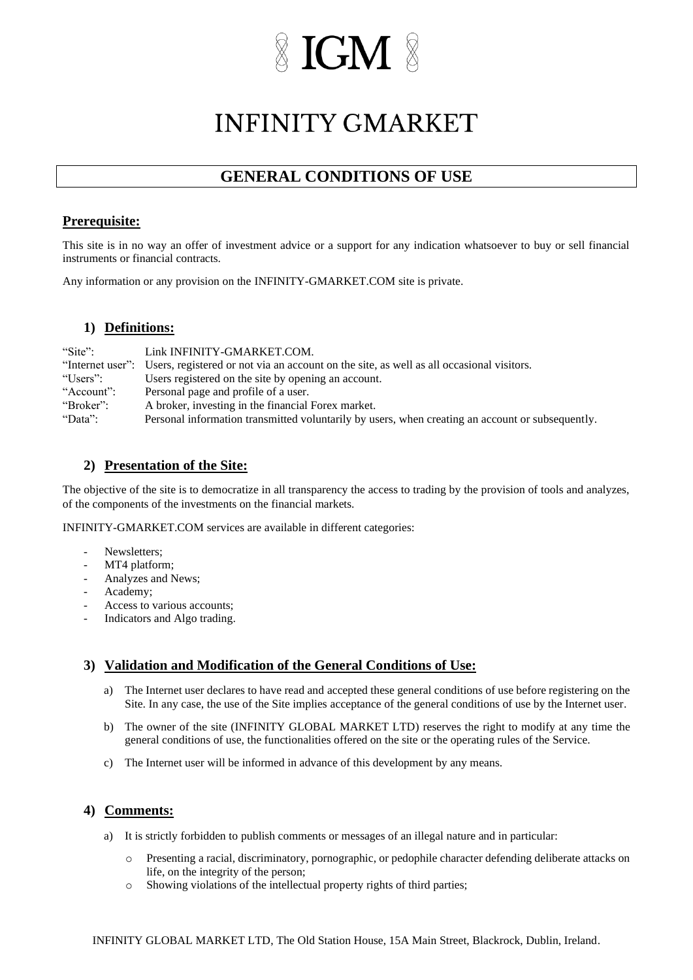## **IGM**

### **INFINITY GMARKET**

### **GENERAL CONDITIONS OF USE**

#### **Prerequisite:**

This site is in no way an offer of investment advice or a support for any indication whatsoever to buy or sell financial instruments or financial contracts.

Any information or any provision on the INFINITY-GMARKET.COM site is private.

#### **1) Definitions:**

| "Site":    | Link INFINITY-GMARKET.COM.                                                                                |
|------------|-----------------------------------------------------------------------------------------------------------|
|            | "Internet user": Users, registered or not via an account on the site, as well as all occasional visitors. |
| "Users":   | Users registered on the site by opening an account.                                                       |
| "Account": | Personal page and profile of a user.                                                                      |
| "Broker":  | A broker, investing in the financial Forex market.                                                        |
| "Data":    | Personal information transmitted voluntarily by users, when creating an account or subsequently.          |

#### **2) Presentation of the Site:**

The objective of the site is to democratize in all transparency the access to trading by the provision of tools and analyzes, of the components of the investments on the financial markets.

INFINITY-GMARKET.COM services are available in different categories:

- Newsletters;
- MT4 platform;
- Analyzes and News;
- Academy:
- Access to various accounts;
- Indicators and Algo trading.

#### **3) Validation and Modification of the General Conditions of Use:**

- a) The Internet user declares to have read and accepted these general conditions of use before registering on the Site. In any case, the use of the Site implies acceptance of the general conditions of use by the Internet user.
- b) The owner of the site (INFINITY GLOBAL MARKET LTD) reserves the right to modify at any time the general conditions of use, the functionalities offered on the site or the operating rules of the Service.
- c) The Internet user will be informed in advance of this development by any means.

#### **4) Comments:**

- a) It is strictly forbidden to publish comments or messages of an illegal nature and in particular:
	- o Presenting a racial, discriminatory, pornographic, or pedophile character defending deliberate attacks on life, on the integrity of the person;
	- o Showing violations of the intellectual property rights of third parties;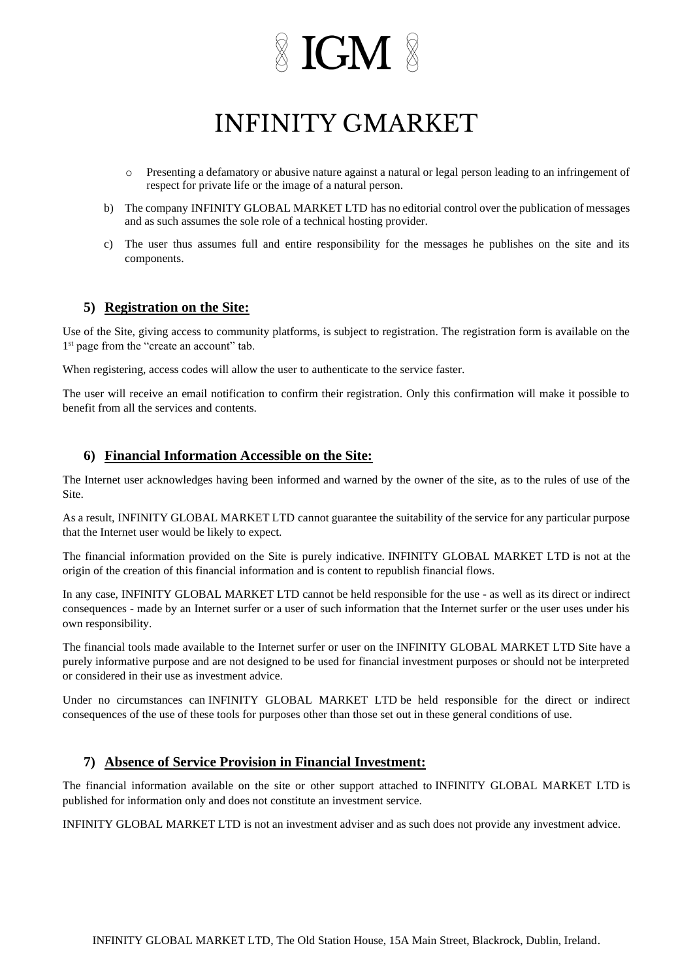## $\mathbb X$  IGM  $\mathbb X$

### **INFINITY GMARKET**

- Presenting a defamatory or abusive nature against a natural or legal person leading to an infringement of respect for private life or the image of a natural person.
- b) The company INFINITY GLOBAL MARKET LTD has no editorial control over the publication of messages and as such assumes the sole role of a technical hosting provider.
- c) The user thus assumes full and entire responsibility for the messages he publishes on the site and its components.

#### **5) Registration on the Site:**

Use of the Site, giving access to community platforms, is subject to registration. The registration form is available on the 1<sup>st</sup> page from the "create an account" tab.

When registering, access codes will allow the user to authenticate to the service faster.

The user will receive an email notification to confirm their registration. Only this confirmation will make it possible to benefit from all the services and contents.

#### **6) Financial Information Accessible on the Site:**

The Internet user acknowledges having been informed and warned by the owner of the site, as to the rules of use of the Site.

As a result, INFINITY GLOBAL MARKET LTD cannot guarantee the suitability of the service for any particular purpose that the Internet user would be likely to expect.

The financial information provided on the Site is purely indicative. INFINITY GLOBAL MARKET LTD is not at the origin of the creation of this financial information and is content to republish financial flows.

In any case, INFINITY GLOBAL MARKET LTD cannot be held responsible for the use - as well as its direct or indirect consequences - made by an Internet surfer or a user of such information that the Internet surfer or the user uses under his own responsibility.

The financial tools made available to the Internet surfer or user on the INFINITY GLOBAL MARKET LTD Site have a purely informative purpose and are not designed to be used for financial investment purposes or should not be interpreted or considered in their use as investment advice.

Under no circumstances can INFINITY GLOBAL MARKET LTD be held responsible for the direct or indirect consequences of the use of these tools for purposes other than those set out in these general conditions of use.

#### **7) Absence of Service Provision in Financial Investment:**

The financial information available on the site or other support attached to INFINITY GLOBAL MARKET LTD is published for information only and does not constitute an investment service.

INFINITY GLOBAL MARKET LTD is not an investment adviser and as such does not provide any investment advice.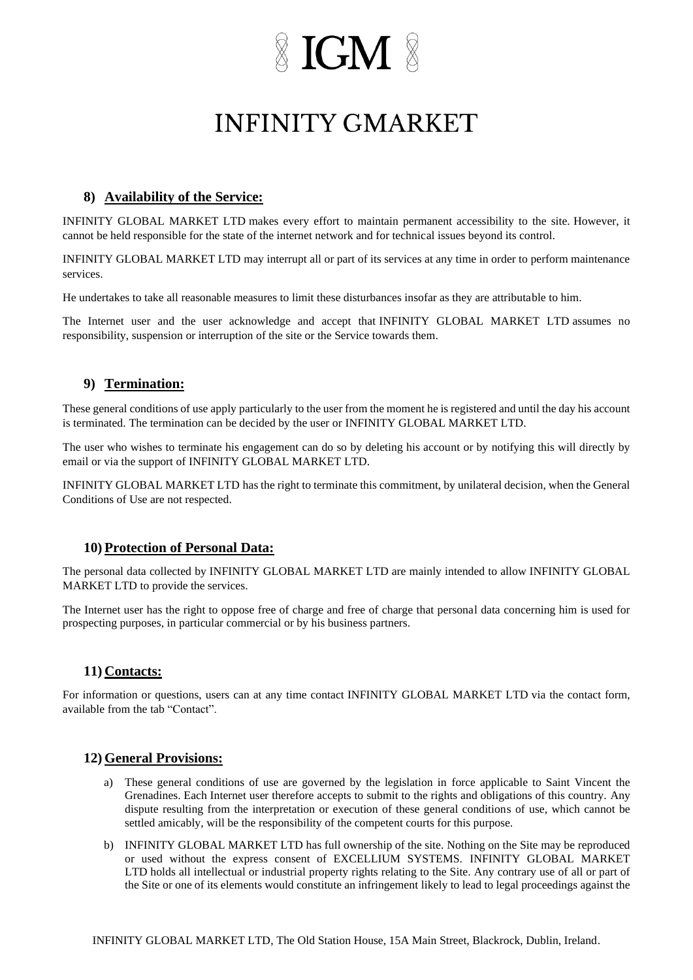## $\mathbb X$  IGM  $\mathbb X$

### **INFINITY GMARKET**

#### **8) Availability of the Service:**

INFINITY GLOBAL MARKET LTD makes every effort to maintain permanent accessibility to the site. However, it cannot be held responsible for the state of the internet network and for technical issues beyond its control.

INFINITY GLOBAL MARKET LTD may interrupt all or part of its services at any time in order to perform maintenance services.

He undertakes to take all reasonable measures to limit these disturbances insofar as they are attributable to him.

The Internet user and the user acknowledge and accept that INFINITY GLOBAL MARKET LTD assumes no responsibility, suspension or interruption of the site or the Service towards them.

#### **9) Termination:**

These general conditions of use apply particularly to the user from the moment he is registered and until the day his account is terminated. The termination can be decided by the user or INFINITY GLOBAL MARKET LTD.

The user who wishes to terminate his engagement can do so by deleting his account or by notifying this will directly by email or via the support of INFINITY GLOBAL MARKET LTD.

INFINITY GLOBAL MARKET LTD has the right to terminate this commitment, by unilateral decision, when the General Conditions of Use are not respected.

#### **10) Protection of Personal Data:**

The personal data collected by INFINITY GLOBAL MARKET LTD are mainly intended to allow INFINITY GLOBAL MARKET LTD to provide the services.

The Internet user has the right to oppose free of charge and free of charge that personal data concerning him is used for prospecting purposes, in particular commercial or by his business partners.

#### **11) Contacts:**

For information or questions, users can at any time contact INFINITY GLOBAL MARKET LTD via the contact form, available from the tab "Contact".

#### **12) General Provisions:**

- a) These general conditions of use are governed by the legislation in force applicable to Saint Vincent the Grenadines. Each Internet user therefore accepts to submit to the rights and obligations of this country. Any dispute resulting from the interpretation or execution of these general conditions of use, which cannot be settled amicably, will be the responsibility of the competent courts for this purpose.
- b) INFINITY GLOBAL MARKET LTD has full ownership of the site. Nothing on the Site may be reproduced or used without the express consent of EXCELLIUM SYSTEMS. INFINITY GLOBAL MARKET LTD holds all intellectual or industrial property rights relating to the Site. Any contrary use of all or part of the Site or one of its elements would constitute an infringement likely to lead to legal proceedings against the